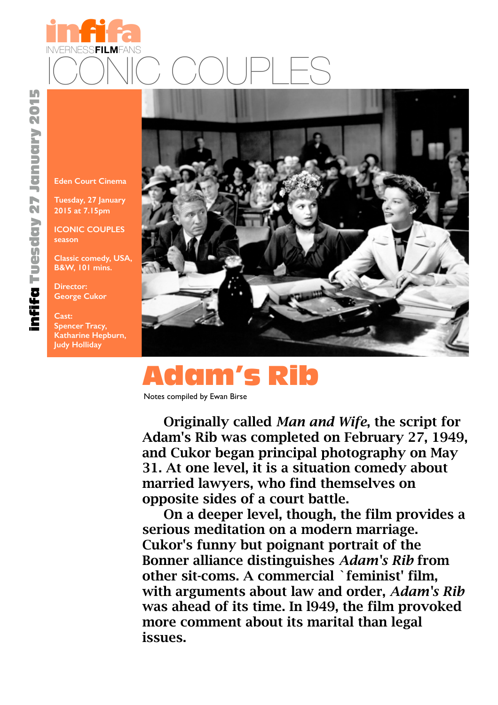

**[Eden Court Cinema](http://www.invernessfilmfans.org/index.php/programme-group-menu/future-seasons/item/2)**

**Tuesday, 27 January 2015 at 7.15pm**

**ICONIC COUPLES season**

**Classic comedy, USA, B&W, 101 mins.**

**Director: George Cukor**

**Cast: Spencer Tracy, Katharine Hepburn, Judy Holliday** 



## Adam's Rib

Notes compiled by Ewan Birse

Originally called *Man and Wife*, the script for Adam's Rib was completed on February 27, 1949, and Cukor began principal photography on May 31. At one level, it is a situation comedy about married lawyers, who find themselves on opposite sides of a court battle.

On a deeper level, though, the film provides a serious meditation on a modern marriage. Cukor's funny but poignant portrait of the Bonner alliance distinguishes *Adam's Rib* from other sit-coms. A commercial `feminist' film, with arguments about law and order, *Adam's Rib* was ahead of its time. In l949, the film provoked more comment about its marital than legal issues.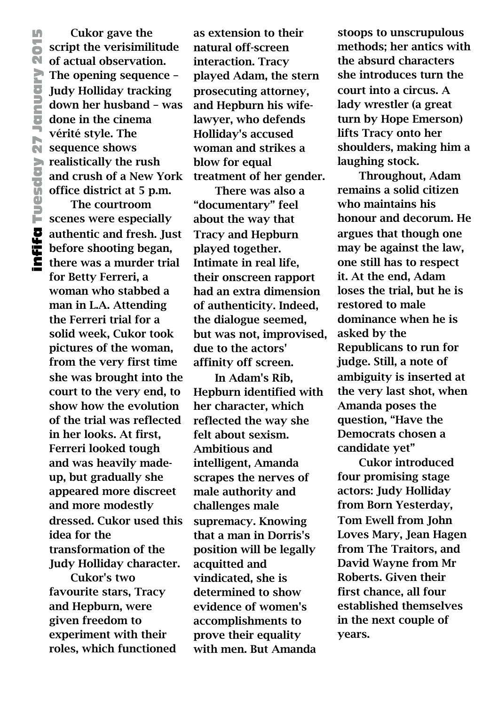Cukor gave the script the verisimilitude  $\overline{\mathbb{N}}$  of actual observation. The opening sequence – Judy Holliday tracking down her husband – was done in the cinema vérité style. The **SECUTE:** Verifie style. The realistically the rush and crush of a New York office district at 5 p.m.

The courtroom scenes were especially authentic and fresh. Just before shooting began, there was a murder trial for Betty Ferreri, a woman who stabbed a man in L.A. Attending the Ferreri trial for a solid week, Cukor took pictures of the woman, from the very first time she was brought into the court to the very end, to show how the evolution of the trial was reflected in her looks. At first, Ferreri looked tough and was heavily madeup, but gradually she appeared more discreet and more modestly dressed. Cukor used this idea for the transformation of the Judy Holliday character.

Cukor's two favourite stars, Tracy and Hepburn, were given freedom to experiment with their roles, which functioned

as extension to their natural off-screen interaction. Tracy played Adam, the stern prosecuting attorney, and Hepburn his wifelawyer, who defends Holliday's accused woman and strikes a blow for equal treatment of her gender.

There was also a "documentary" feel about the way that Tracy and Hepburn played together. Intimate in real life, their onscreen rapport had an extra dimension of authenticity. Indeed, the dialogue seemed, but was not, improvised, due to the actors' affinity off screen.

In Adam's Rib, Hepburn identified with her character, which reflected the way she felt about sexism. Ambitious and intelligent, Amanda scrapes the nerves of male authority and challenges male supremacy. Knowing that a man in Dorris's position will be legally acquitted and vindicated, she is determined to show evidence of women's accomplishments to prove their equality with men. But Amanda

stoops to unscrupulous methods; her antics with the absurd characters she introduces turn the court into a circus. A lady wrestler (a great turn by Hope Emerson) lifts Tracy onto her shoulders, making him a laughing stock.

Throughout, Adam remains a solid citizen who maintains his honour and decorum. He argues that though one may be against the law, one still has to respect it. At the end, Adam loses the trial, but he is restored to male dominance when he is asked by the Republicans to run for judge. Still, a note of ambiguity is inserted at the very last shot, when Amanda poses the question, "Have the Democrats chosen a candidate yet"

Cukor introduced four promising stage actors: Judy Holliday from Born Yesterday, Tom Ewell from John Loves Mary, Jean Hagen from The Traitors, and David Wayne from Mr Roberts. Given their first chance, all four established themselves in the next couple of years.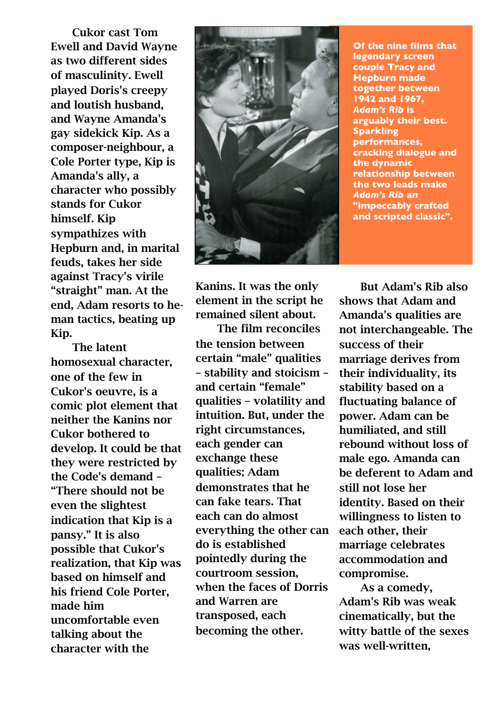Cukor cast Tom Ewell and David Wayne as two different sides of masculinity. Ewell played Doris's creepy and loutish husband, and Wayne Amanda's gay sidekick Kip. As a composer-neighbour, a Cole Porter type, Kip is Amanda's ally, a character who possibly stands for Cukor himself. Kip sympathizes with Hepburn and, in marital feuds, takes her side against Tracy's virile "straight" man. At the end, Adam resorts to heman tactics, beating up Kip.

The latent homosexual character, one of the few in Cukor's oeuvre, is a comic plot element that neither the Kanins nor Cukor bothered to develop. It could be that they were restricted by the Code's demand – "There should not be even the slightest indication that Kip is a pansy." It is also possible that Cukor's realization, that Kip was based on himself and his friend Cole Porter, made him uncomfortable even talking about the character with the



**Of the nine films that legendary screen couple Tracy and Hepburn made together between 1942 and 1967,**  *Adam's Rib* **is arguably their best. Sparkling performances, cracking dialogue and the dynamic relationship between the two leads make**  *Adam's Rib* **an "impeccably crafted and scripted classic".**

Kanins. It was the only element in the script he remained silent about.

The film reconciles the tension between certain "male" qualities – stability and stoicism – and certain "female" qualities – volatility and intuition. But, under the right circumstances, each gender can exchange these qualities; Adam demonstrates that he can fake tears. That each can do almost everything the other can do is established pointedly during the courtroom session, when the faces of Dorris and Warren are transposed, each becoming the other.

But Adam's Rib also shows that Adam and Amanda's qualities are not interchangeable. The success of their marriage derives from their individuality, its stability based on a fluctuating balance of power. Adam can be humiliated, and still rebound without loss of male ego. Amanda can be deferent to Adam and still not lose her identity. Based on their willingness to listen to each other, their marriage celebrates accommodation and compromise.

As a comedy, Adam's Rib was weak cinematically, but the witty battle of the sexes was well-written,